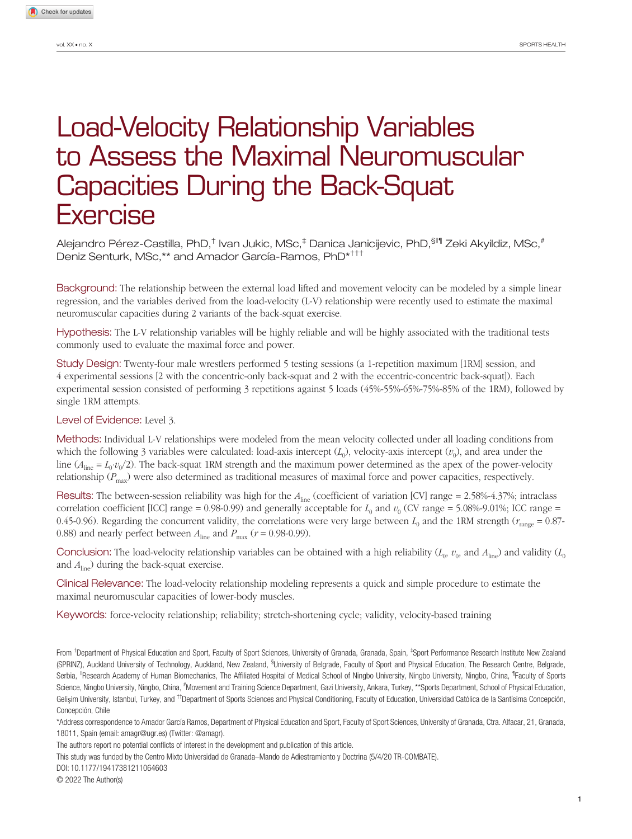# Load-Velocity Relationship Variables to Assess the Maximal Neuromuscular Capacities During the Back-Squat **Exercise**

Alejandro Pérez-Castilla, PhD,<sup>†</sup> Ivan Jukic, MSc,<sup>‡</sup> Danica Janicijevic, PhD,<sup>§II¶</sup> Zeki Akyildiz, MSc,<sup>#</sup> Deniz Senturk, MSc,\*\* and Amador García-Ramos, PhD\*†††

Background: The relationship between the external load lifted and movement velocity can be modeled by a simple linear regression, and the variables derived from the load-velocity (L-V) relationship were recently used to estimate the maximal neuromuscular capacities during 2 variants of the back-squat exercise.

Hypothesis: The L-V relationship variables will be highly reliable and will be highly associated with the traditional tests commonly used to evaluate the maximal force and power.

Study Design: Twenty-four male wrestlers performed 5 testing sessions (a 1-repetition maximum [1RM] session, and 4 experimental sessions [2 with the concentric-only back-squat and 2 with the eccentric-concentric back-squat]). Each experimental session consisted of performing 3 repetitions against 5 loads (45%-55%-65%-75%-85% of the 1RM), followed by single 1RM attempts.

Level of Evidence: Level 3.

Methods: Individual L-V relationships were modeled from the mean velocity collected under all loading conditions from which the following 3 variables were calculated: load-axis intercept  $(L_0)$ , velocity-axis intercept  $(v_0)$ , and area under the line ( $A_{\text{line}} = L_0 \cdot v_0/2$ ). The back-squat 1RM strength and the maximum power determined as the apex of the power-velocity relationship ( $P_{\text{max}}$ ) were also determined as traditional measures of maximal force and power capacities, respectively.

Results: The between-session reliability was high for the  $A_{\text{line}}$  (coefficient of variation [CV] range = 2.58%-4.37%; intraclass correlation coefficient [ICC] range = 0.98-0.99) and generally acceptable for  $L_0$  and  $v_0$  (CV range = 5.08%-9.01%; ICC range = 0.45-0.96). Regarding the concurrent validity, the correlations were very large between  $L_0$  and the 1RM strength ( $r_{\text{range}} = 0.87$ -0.88) and nearly perfect between  $A_{\text{line}}$  and  $P_{\text{max}}$  ( $r = 0.98$ -0.99).

Conclusion: The load-velocity relationship variables can be obtained with a high reliability  $(L_0, v_0)$ , and  $A_{\text{line}}$ ) and validity  $(L_0, v_0)$ and *A*line) during the back-squat exercise.

Clinical Relevance: The load-velocity relationship modeling represents a quick and simple procedure to estimate the maximal neuromuscular capacities of lower-body muscles.

Keywords: force-velocity relationship; reliability; stretch-shortening cycle; validity, velocity-based training

From <sup>†</sup>Department of Physical Education and Sport, Faculty of Sport Sciences, University of Granada, Granada, Spain, <sup>‡</sup>Sport Performance Research Institute New Zealand (SPRINZ), Auckland University of Technology, Auckland, New Zealand, <sup>§</sup>University of Belgrade, Faculty of Sport and Physical Education, The Research Centre, Belgrade, Serbia, <sup>"</sup>Research Academy of Human Biomechanics, The Affiliated Hospital of Medical School of Ningbo University, Ningbo University, Ningbo, China, <sup>1</sup>Faculty of Sports Science, Ningbo University, Ningbo, China, <sup>#</sup>Movement and Training Science Department, Gazi University, Ankara, Turkey, \*\*Sports Department, School of Physical Education, Gelisim University, Istanbul, Turkey, and <sup>††</sup>Department of Sports Sciences and Physical Conditioning, Faculty of Education, Universidad Católica de la Santísima Concepción, Concepción, Chile

\*Address correspondence to Amador García Ramos, Department of Physical Education and Sport, Faculty of Sport Sciences, University of Granada, Ctra. Alfacar, 21, Granada, 18011, Spain (email: amagr@ugr.es) (Twitter: @amagr).

The authors report no potential conflicts of interest in the development and publication of this article.

This study was funded by the Centro Mixto Universidad de Granada–Mando de Adiestramiento y Doctrina (5/4/20 TR-COMBATE).

DOI: 10.1177/19417381211064603

© 2022 The Author(s)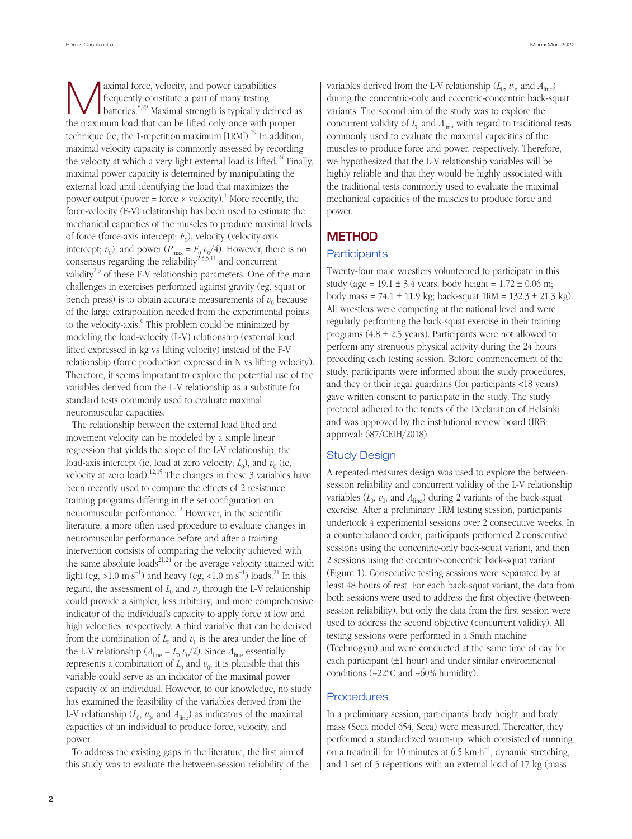**A**<br> **A**<br> **A**<br> **EXECUTE:** Frequently constitute a part of many testing<br>
batteries.<sup>8,29</sup> Maximal strength is typically defined as frequently constitute a part of many testing the maximum load that can be lifted only once with proper technique (ie, the 1-repetition maximum  $[1RM]$ ).<sup>19</sup> In addition, maximal velocity capacity is commonly assessed by recording the velocity at which a very light external load is lifted.<sup>24</sup> Finally, maximal power capacity is determined by manipulating the external load until identifying the load that maximizes the power output (power = force  $\times$  velocity).<sup>1</sup> More recently, the force-velocity (F-V) relationship has been used to estimate the mechanical capacities of the muscles to produce maximal levels of force (force-axis intercept; *F*0), velocity (velocity-axis intercept;  $v_0$ ), and power ( $P_{\text{max}} = F_0 \cdot v_0/4$ ). However, there is no consensus regarding the reliability<sup>2,3,5,11</sup> and concurrent validity<sup>2,3</sup> of these F-V relationship parameters. One of the main challenges in exercises performed against gravity (eg, squat or bench press) is to obtain accurate measurements of  $v_0$  because of the large extrapolation needed from the experimental points to the velocity-axis.<sup>6</sup> This problem could be minimized by modeling the load-velocity (L-V) relationship (external load lifted expressed in kg vs lifting velocity) instead of the F-V relationship (force production expressed in N vs lifting velocity). Therefore, it seems important to explore the potential use of the variables derived from the L-V relationship as a substitute for standard tests commonly used to evaluate maximal neuromuscular capacities.

The relationship between the external load lifted and movement velocity can be modeled by a simple linear regression that yields the slope of the L-V relationship, the load-axis intercept (ie, load at zero velocity;  $L_0$ ), and  $v_0$  (ie, velocity at zero load).<sup>12,15</sup> The changes in these  $\beta$  variables have been recently used to compare the effects of 2 resistance training programs differing in the set configuration on neuromuscular performance.<sup>12</sup> However, in the scientific literature, a more often used procedure to evaluate changes in neuromuscular performance before and after a training intervention consists of comparing the velocity achieved with the same absolute loads $^{21,24}$  or the average velocity attained with light (eg, >1.0 m·s<sup>-1</sup>) and heavy (eg, <1.0 m·s<sup>-1</sup>) loads.<sup>21</sup> In this regard, the assessment of  $L_0$  and  $v_0$  through the L-V relationship could provide a simpler, less arbitrary, and more comprehensive indicator of the individual's capacity to apply force at low and high velocities, respectively. A third variable that can be derived from the combination of  $L_0$  and  $v_0$  is the area under the line of the L-V relationship ( $A_{\text{line}} = L_0 \cdot v_0/2$ ). Since  $A_{\text{line}}$  essentially represents a combination of  $L_0$  and  $v_0$ , it is plausible that this variable could serve as an indicator of the maximal power capacity of an individual. However, to our knowledge, no study has examined the feasibility of the variables derived from the L-V relationship  $(L_0, v_0, \text{ and } A_{\text{line}})$  as indicators of the maximal capacities of an individual to produce force, velocity, and power.

To address the existing gaps in the literature, the first aim of this study was to evaluate the between-session reliability of the variables derived from the L-V relationship  $(L_0, v_0, \text{ and } A_{\text{line}})$ during the concentric-only and eccentric-concentric back-squat variants. The second aim of the study was to explore the concurrent validity of  $L_0$  and  $A_{\text{line}}$  with regard to traditional tests commonly used to evaluate the maximal capacities of the muscles to produce force and power, respectively. Therefore, we hypothesized that the L-V relationship variables will be highly reliable and that they would be highly associated with the traditional tests commonly used to evaluate the maximal mechanical capacities of the muscles to produce force and power.

# **METHOD**

#### **Participants**

Twenty-four male wrestlers volunteered to participate in this study (age = 19.1  $\pm$  3.4 years, body height = 1.72  $\pm$  0.06 m; body mass = 74.1  $\pm$  11.9 kg; back-squat 1RM = 132.3  $\pm$  21.3 kg). All wrestlers were competing at the national level and were regularly performing the back-squat exercise in their training programs  $(4.8 \pm 2.5 \text{ years})$ . Participants were not allowed to perform any strenuous physical activity during the 24 hours preceding each testing session. Before commencement of the study, participants were informed about the study procedures, and they or their legal guardians (for participants <18 years) gave written consent to participate in the study. The study protocol adhered to the tenets of the Declaration of Helsinki and was approved by the institutional review board (IRB approval: 687/CEIH/2018).

#### Study Design

A repeated-measures design was used to explore the betweensession reliability and concurrent validity of the L-V relationship variables  $(L_0, v_0, \text{ and } A_{\text{line}})$  during 2 variants of the back-squat exercise. After a preliminary 1RM testing session, participants undertook 4 experimental sessions over 2 consecutive weeks. In a counterbalanced order, participants performed 2 consecutive sessions using the concentric-only back-squat variant, and then 2 sessions using the eccentric-concentric back-squat variant (Figure 1). Consecutive testing sessions were separated by at least 48 hours of rest. For each back-squat variant, the data from both sessions were used to address the first objective (betweensession reliability), but only the data from the first session were used to address the second objective (concurrent validity). All testing sessions were performed in a Smith machine (Technogym) and were conducted at the same time of day for each participant (±1 hour) and under similar environmental conditions (~22°C and ~60% humidity).

## **Procedures**

In a preliminary session, participants' body height and body mass (Seca model 654, Seca) were measured. Thereafter, they performed a standardized warm-up, which consisted of running on a treadmill for 10 minutes at 6.5 km·h−1, dynamic stretching, and 1 set of 5 repetitions with an external load of 17 kg (mass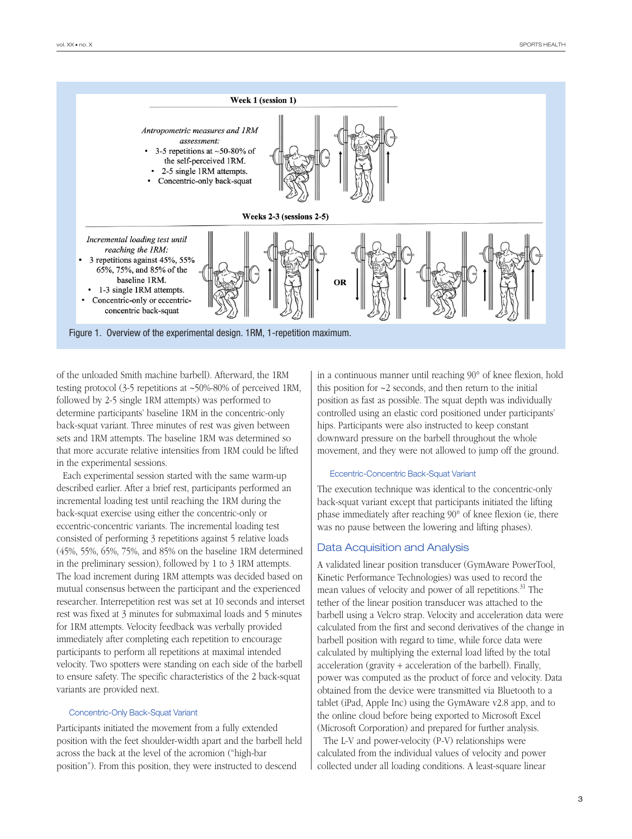

Figure 1. Overview of the experimental design. 1RM, 1-repetition maximum.

of the unloaded Smith machine barbell). Afterward, the 1RM testing protocol (3-5 repetitions at ~50%-80% of perceived 1RM, followed by 2-5 single 1RM attempts) was performed to determine participants' baseline 1RM in the concentric-only back-squat variant. Three minutes of rest was given between sets and 1RM attempts. The baseline 1RM was determined so that more accurate relative intensities from 1RM could be lifted in the experimental sessions.

Each experimental session started with the same warm-up described earlier. After a brief rest, participants performed an incremental loading test until reaching the 1RM during the back-squat exercise using either the concentric-only or eccentric-concentric variants. The incremental loading test consisted of performing 3 repetitions against 5 relative loads (45%, 55%, 65%, 75%, and 85% on the baseline 1RM determined in the preliminary session), followed by 1 to 3 1RM attempts. The load increment during 1RM attempts was decided based on mutual consensus between the participant and the experienced researcher. Interrepetition rest was set at 10 seconds and interset rest was fixed at 3 minutes for submaximal loads and 5 minutes for 1RM attempts. Velocity feedback was verbally provided immediately after completing each repetition to encourage participants to perform all repetitions at maximal intended velocity. Two spotters were standing on each side of the barbell to ensure safety. The specific characteristics of the 2 back-squat variants are provided next.

#### Concentric-Only Back-Squat Variant

Participants initiated the movement from a fully extended position with the feet shoulder-width apart and the barbell held across the back at the level of the acromion ("high-bar position"). From this position, they were instructed to descend

in a continuous manner until reaching 90° of knee flexion, hold this position for  $\sim$ 2 seconds, and then return to the initial position as fast as possible. The squat depth was individually controlled using an elastic cord positioned under participants' hips. Participants were also instructed to keep constant downward pressure on the barbell throughout the whole movement, and they were not allowed to jump off the ground.

#### Eccentric-Concentric Back-Squat Variant

The execution technique was identical to the concentric-only back-squat variant except that participants initiated the lifting phase immediately after reaching 90° of knee flexion (ie, there was no pause between the lowering and lifting phases).

#### Data Acquisition and Analysis

A validated linear position transducer (GymAware PowerTool, Kinetic Performance Technologies) was used to record the mean values of velocity and power of all repetitions.<sup>31</sup> The tether of the linear position transducer was attached to the barbell using a Velcro strap. Velocity and acceleration data were calculated from the first and second derivatives of the change in barbell position with regard to time, while force data were calculated by multiplying the external load lifted by the total acceleration (gravity + acceleration of the barbell). Finally, power was computed as the product of force and velocity. Data obtained from the device were transmitted via Bluetooth to a tablet (iPad, Apple Inc) using the GymAware v2.8 app, and to the online cloud before being exported to Microsoft Excel (Microsoft Corporation) and prepared for further analysis.

The L-V and power-velocity (P-V) relationships were calculated from the individual values of velocity and power collected under all loading conditions. A least-square linear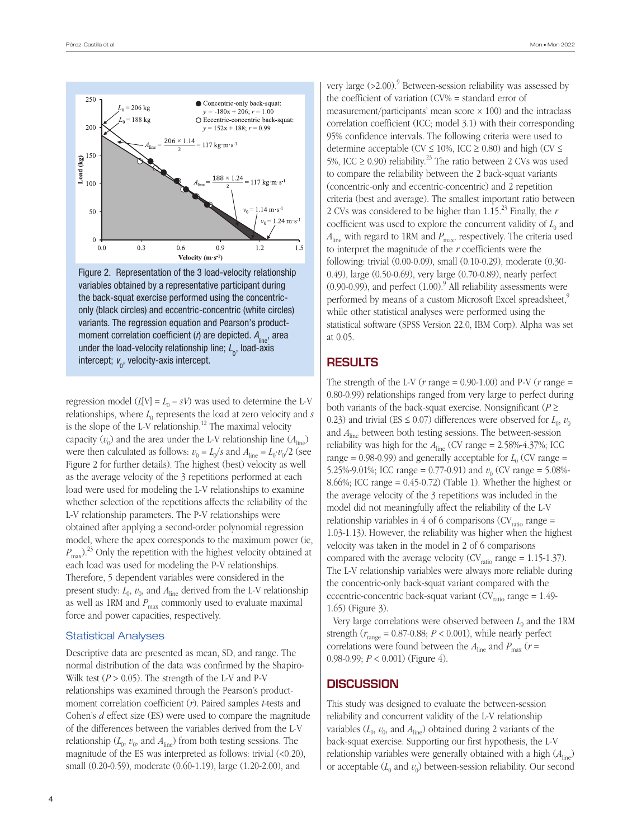

Figure 2. Representation of the 3 load-velocity relationship variables obtained by a representative participant during the back-squat exercise performed using the concentriconly (black circles) and eccentric-concentric (white circles) variants. The regression equation and Pearson's productmoment correlation coefficient (*r*) are depicted.  $A_{\text{line}}$ , area under the load-velocity relationship line;  $L_{\!{}_0},$  load-axis intercept;  $v_{\!_{0}}$ , velocity-axis intercept.

regression model  $(L[V] = L_0 - sV)$  was used to determine the L-V relationships, where  $L_0$  represents the load at zero velocity and  $s$ is the slope of the L-V relationship.<sup>12</sup> The maximal velocity capacity  $(v_0)$  and the area under the L-V relationship line  $(A_{\text{line}})$ were then calculated as follows:  $v_0 = L_0/s$  and  $A_{\text{line}} = L_0 \cdot v_0/2$  (see Figure 2 for further details). The highest (best) velocity as well as the average velocity of the 3 repetitions performed at each load were used for modeling the L-V relationships to examine whether selection of the repetitions affects the reliability of the L-V relationship parameters. The P-V relationships were obtained after applying a second-order polynomial regression model, where the apex corresponds to the maximum power (ie,  $P_{\text{max}}$ ).<sup>23</sup> Only the repetition with the highest velocity obtained at each load was used for modeling the P-V relationships. Therefore, 5 dependent variables were considered in the present study:  $L_0$ ,  $v_0$ , and  $A_{\text{line}}$  derived from the L-V relationship as well as 1RM and  $P_{\text{max}}$  commonly used to evaluate maximal force and power capacities, respectively.

#### Statistical Analyses

Descriptive data are presented as mean, SD, and range. The normal distribution of the data was confirmed by the Shapiro-Wilk test  $(P > 0.05)$ . The strength of the L-V and P-V relationships was examined through the Pearson's productmoment correlation coefficient (*r*). Paired samples *t*-tests and Cohen's *d* effect size (ES) were used to compare the magnitude of the differences between the variables derived from the L-V relationship  $(L_0, v_0, \text{ and } A_{\text{line}})$  from both testing sessions. The magnitude of the ES was interpreted as follows: trivial (<0.20), small (0.20-0.59), moderate (0.60-1.19), large (1.20-2.00), and

very large  $(>2.00)$ .<sup>9</sup> Between-session reliability was assessed by the coefficient of variation (CV% = standard error of measurement/participants' mean score  $\times$  100) and the intraclass correlation coefficient (ICC; model 3.1) with their corresponding 95% confidence intervals. The following criteria were used to determine acceptable (CV  $\leq$  10%, ICC  $\geq$  0.80) and high (CV  $\leq$ 5%, ICC  $\geq$  0.90) reliability.<sup>23</sup> The ratio between 2 CVs was used to compare the reliability between the 2 back-squat variants (concentric-only and eccentric-concentric) and 2 repetition criteria (best and average). The smallest important ratio between 2 CVs was considered to be higher than  $1.15^{23}$  Finally, the  $r$ coefficient was used to explore the concurrent validity of  $L_0$  and  $A_{\text{line}}$  with regard to 1RM and  $P_{\text{max}}$ , respectively. The criteria used to interpret the magnitude of the *r* coefficients were the following: trivial (0.00-0.09), small (0.10-0.29), moderate (0.30- 0.49), large (0.50-0.69), very large (0.70-0.89), nearly perfect  $(0.90-0.99)$ , and perfect  $(1.00)$ .<sup>9</sup> All reliability assessments were performed by means of a custom Microsoft Excel spreadsheet,<sup>9</sup> while other statistical analyses were performed using the statistical software (SPSS Version 22.0, IBM Corp). Alpha was set at 0.05.

### **RESULTS**

The strength of the L-V (*r* range = 0.90-1.00) and P-V (*r* range = 0.80-0.99) relationships ranged from very large to perfect during both variants of the back-squat exercise. Nonsignificant (*P* ≥ 0.23) and trivial (ES  $\leq$  0.07) differences were observed for  $L_0$ ,  $v_0$ and *A*line between both testing sessions. The between-session reliability was high for the  $A_{\text{line}}$  (CV range = 2.58%-4.37%; ICC range =  $0.98-0.99$ ) and generally acceptable for  $L_0$  (CV range = 5.25%-9.01%; ICC range = 0.77-0.91) and  $v_0$  (CV range = 5.08%-8.66%; ICC range = 0.45-0.72) (Table 1). Whether the highest or the average velocity of the 3 repetitions was included in the model did not meaningfully affect the reliability of the L-V relationship variables in 4 of 6 comparisons ( $CV<sub>ratio</sub>$  range = 1.03-1.13). However, the reliability was higher when the highest velocity was taken in the model in 2 of 6 comparisons compared with the average velocity ( $CV_{ratio}$  range = 1.15-1.37). The L-V relationship variables were always more reliable during the concentric-only back-squat variant compared with the eccentric-concentric back-squat variant ( $CV<sub>ratio</sub> range = 1.49$ -1.65) (Figure 3).

Very large correlations were observed between  $L_0$  and the 1RM strength ( $r_{\text{range}} = 0.87$ -0.88;  $P < 0.001$ ), while nearly perfect correlations were found between the  $A_{\text{line}}$  and  $P_{\text{max}}$  ( $r =$ 0.98-0.99; *P* < 0.001) (Figure 4).

#### **DISCUSSION**

This study was designed to evaluate the between-session reliability and concurrent validity of the L-V relationship variables  $(L_0, v_0, \text{ and } A_{\text{line}})$  obtained during 2 variants of the back-squat exercise. Supporting our first hypothesis, the L-V relationship variables were generally obtained with a high (*A*line) or acceptable  $(L_0$  and  $v_0$ ) between-session reliability. Our second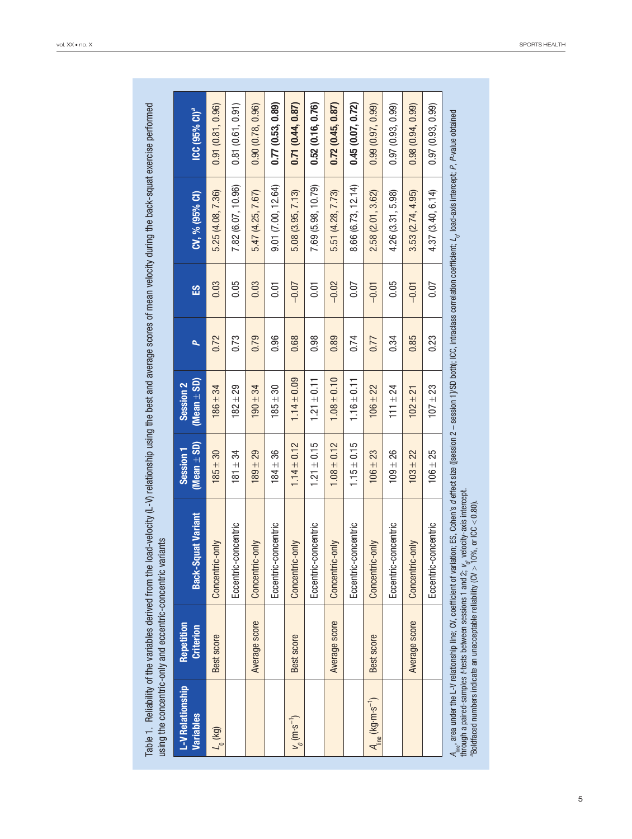| using the concentric-only and eccentric-concentric variants |                                |                                                                                                                                                                                                                                                                                                                                                                                                                                                 |                                         |                                         |                         |          |                    |                                                    |
|-------------------------------------------------------------|--------------------------------|-------------------------------------------------------------------------------------------------------------------------------------------------------------------------------------------------------------------------------------------------------------------------------------------------------------------------------------------------------------------------------------------------------------------------------------------------|-----------------------------------------|-----------------------------------------|-------------------------|----------|--------------------|----------------------------------------------------|
| L-V Relationship<br><b>Variables</b>                        | Repetition<br><b>Criterion</b> | <b>Back-Squat Variant</b>                                                                                                                                                                                                                                                                                                                                                                                                                       | (Mean $\pm$ SD)<br>Session <sub>1</sub> | (Mean $\pm$ SD)<br>Session <sub>2</sub> | $\overline{\mathbf{p}}$ | <b>留</b> | CV, % (95% CI)     | $\overline{\text{ICC}}$ (95% $\text{C1}\text{)}^a$ |
| $L_{0}$ (kg)                                                | Best score                     | Concentric-only                                                                                                                                                                                                                                                                                                                                                                                                                                 | $185 + 30$                              | $186 \pm 34$                            | 0.72                    | 0.03     | 5.25 (4.08, 7.36)  | 0.91(0.81, 0.96)                                   |
|                                                             |                                | Eccentric-concentric                                                                                                                                                                                                                                                                                                                                                                                                                            | $81 \pm 34$                             | $182 \pm 29$                            | 0.73                    | 0.05     | 7.82 (6.07, 10.96) | 0.81(0.61, 0.91)                                   |
|                                                             | Average score                  | Concentric-only                                                                                                                                                                                                                                                                                                                                                                                                                                 | $89 \pm 29$                             | $190 \pm 34$                            | 0.79                    | 0.03     | 5.47 (4.25, 7.67)  | 0.90(0.78, 0.96)                                   |
|                                                             |                                | Eccentric-concentric                                                                                                                                                                                                                                                                                                                                                                                                                            | $184 + 36$                              | $185 \pm 30$                            | 0.96                    | 0.01     | 9.01(7.00, 12.64)  | 0.77(0.53, 0.89)                                   |
| $v_{0}$ (m·s <sup>-1</sup> )                                | Best score                     | Concentric-only                                                                                                                                                                                                                                                                                                                                                                                                                                 | $1.14 \pm 0.12$                         | $1.14 \pm 0.09$                         | 0.68                    | $-0.07$  | 5.08 (3.95, 7.13)  | 0.71(0.44, 0.87)                                   |
|                                                             |                                | Eccentric-concentric                                                                                                                                                                                                                                                                                                                                                                                                                            | $1.21 \pm 0.15$                         | $1.21 \pm 0.11$                         | 0.98                    | 0.01     | 7.69 (5.98, 10.79) | 0.52(0.16, 0.76)                                   |
|                                                             | Average score                  | Concentric-only                                                                                                                                                                                                                                                                                                                                                                                                                                 | $1.08 \pm 0.12$                         | $1.08 \pm 0.10$                         | 0.89                    | $-0.02$  | 5.51 (4.28, 7.73)  | 0.72(0.45, 0.87)                                   |
|                                                             |                                | Eccentric-concentric                                                                                                                                                                                                                                                                                                                                                                                                                            | $1.15 \pm 0.15$                         | $1.16 \pm 0.11$                         | 0.74                    | 0.07     | 8.66 (6.73, 12.14) | 0.45(0.07, 0.72)                                   |
| $A_{\text{line}}$ (kg·m·s <sup>-1</sup> )                   | Best score                     | Concentric-only                                                                                                                                                                                                                                                                                                                                                                                                                                 | $106 \pm 23$                            | $106 \pm 22$                            | 0.77                    | $-0.01$  | 2.58 (2.01, 3.62)  | 0.99(0.97, 0.99)                                   |
|                                                             |                                | Eccentric-concentric                                                                                                                                                                                                                                                                                                                                                                                                                            | $109 + 26$                              | $111 \pm 24$                            | 0.34                    | 0.05     | 4.26 (3.31, 5.98)  | 0.97(0.93, 0.99)                                   |
|                                                             | Average score                  | Concentric-only                                                                                                                                                                                                                                                                                                                                                                                                                                 | $103 + 22$                              | $102 \pm 21$                            | 0.85                    | $-0.01$  | 3.53(2.74, 4.95)   | 0.98(0.94, 0.99)                                   |
|                                                             |                                | Eccentric-concentric                                                                                                                                                                                                                                                                                                                                                                                                                            | $106 + 25$                              | $107 \pm 23$                            | 0.23                    | 0.07     | 4.37 (3.40, 6.14)  | 0.97(0.93, 0.99)                                   |
|                                                             |                                | $A_{\rm inc}$ , area under the L-V relationship line; CV, coefficient of variation; ES, Cohen's <i>d</i> effect size ([session 2 – session 1]/SD both); ICC, intraclass correlation coefficient; L <sub>o</sub> , load-axis intercept; P, P-value o<br>through a paired-samples ⊁tests between sessions 1 and 2; <sub>t/</sub> , velocity-axis intercept.<br>"Boldfaced numbers indicate an unacceptable reilability (CV > 10%, or ICC < 0.80). |                                         |                                         |                         |          |                    |                                                    |

Table 1. Reliability of the variables derived from the load-velocity (L-V) relationship using the best and average scores of mean velocity during the back-squat exercise performed Table 1. Reliability of the variables derived from the load-velocity (L-V) relationship using the best and average scores of mean velocity during the back-squat exercise performed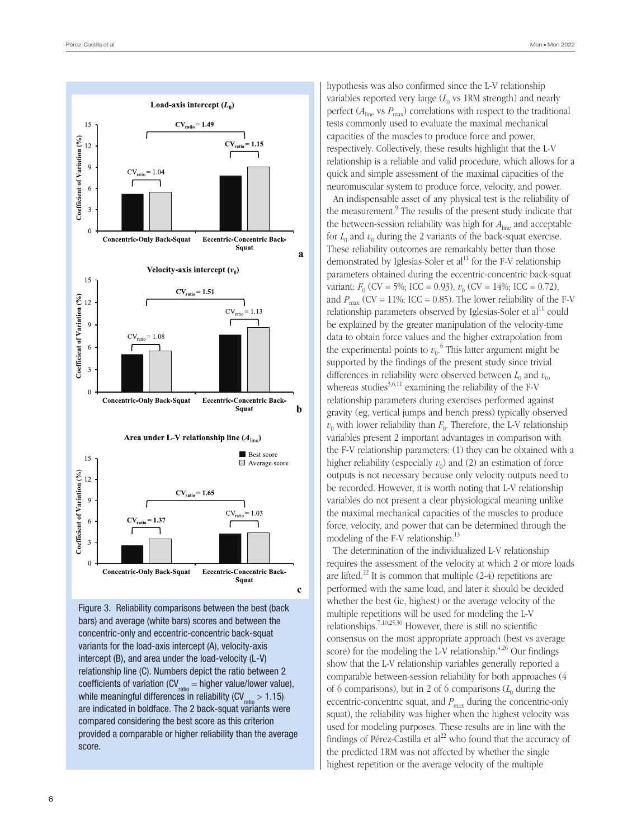

Figure 3. Reliability comparisons between the best (back bars) and average (white bars) scores and between the concentric-only and eccentric-concentric back-squat variants for the load-axis intercept (A), velocity-axis intercept (B), and area under the load-velocity (L-V) relationship line (C). Numbers depict the ratio between 2 coefficients of variation (CV $_{ratio}$  = higher value/lower value), while meaningful differences in reliability ( $CV_{ratio} > 1.15$ ) are indicated in boldface. The 2 back-squat variants were compared considering the best score as this criterion provided a comparable or higher reliability than the average score.

hypothesis was also confirmed since the L-V relationship variables reported very large  $(L_0$  vs 1RM strength) and nearly perfect ( $A_{\text{line}}$  vs  $P_{\text{max}}$ ) correlations with respect to the traditional tests commonly used to evaluate the maximal mechanical capacities of the muscles to produce force and power, respectively. Collectively, these results highlight that the L-V relationship is a reliable and valid procedure, which allows for a quick and simple assessment of the maximal capacities of the neuromuscular system to produce force, velocity, and power.

An indispensable asset of any physical test is the reliability of the measurement.<sup>9</sup> The results of the present study indicate that the between-session reliability was high for *A*line and acceptable for  $L_0$  and  $v_0$  during the 2 variants of the back-squat exercise. These reliability outcomes are remarkably better than those demonstrated by Iglesias-Soler et  $al<sup>11</sup>$  for the F-V relationship parameters obtained during the eccentric-concentric back-squat variant:  $F_0$  (CV = 5%; ICC = 0.93),  $v_0$  (CV = 14%; ICC = 0.72), and  $P_{\text{max}}$  (CV = 11%; ICC = 0.85). The lower reliability of the F-V relationship parameters observed by Iglesias-Soler et  $al<sup>11</sup>$  could be explained by the greater manipulation of the velocity-time data to obtain force values and the higher extrapolation from the experimental points to  $v_0$ <sup>6</sup>. This latter argument might be supported by the findings of the present study since trivial differences in reliability were observed between  $L_0$  and  $v_0$ , whereas studies<sup>3,6,11</sup> examining the reliability of the F-V relationship parameters during exercises performed against gravity (eg, vertical jumps and bench press) typically observed  $v_0$  with lower reliability than  $F_0$ . Therefore, the L-V relationship variables present 2 important advantages in comparison with the F-V relationship parameters: (1) they can be obtained with a higher reliability (especially  $v_0$ ) and (2) an estimation of force outputs is not necessary because only velocity outputs need to be recorded. However, it is worth noting that L-V relationship variables do not present a clear physiological meaning unlike the maximal mechanical capacities of the muscles to produce force, velocity, and power that can be determined through the modeling of the F-V relationship. $^{13}$ 

The determination of the individualized L-V relationship requires the assessment of the velocity at which 2 or more loads are lifted.<sup>22</sup> It is common that multiple  $(2-4)$  repetitions are performed with the same load, and later it should be decided whether the best (ie, highest) or the average velocity of the multiple repetitions will be used for modeling the L-V relationships.7,10,25,30 However, there is still no scientific consensus on the most appropriate approach (best vs average score) for the modeling the L-V relationship. $4,26$  Our findings show that the L-V relationship variables generally reported a comparable between-session reliability for both approaches (4 of 6 comparisons), but in 2 of 6 comparisons  $(L_0$  during the eccentric-concentric squat, and  $P_{\text{max}}$  during the concentric-only squat), the reliability was higher when the highest velocity was used for modeling purposes. These results are in line with the findings of Pérez-Castilla et  $al^{22}$  who found that the accuracy of the predicted 1RM was not affected by whether the single highest repetition or the average velocity of the multiple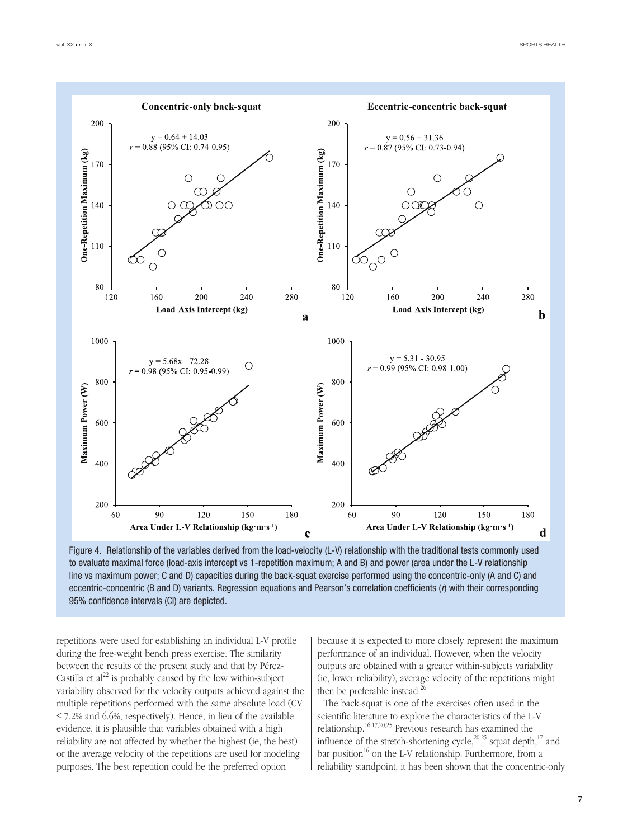



repetitions were used for establishing an individual L-V profile during the free-weight bench press exercise. The similarity between the results of the present study and that by Pérez-Castilla et  $al^{22}$  is probably caused by the low within-subject variability observed for the velocity outputs achieved against the multiple repetitions performed with the same absolute load (CV  $\leq$  7.2% and 6.6%, respectively). Hence, in lieu of the available evidence, it is plausible that variables obtained with a high reliability are not affected by whether the highest (ie, the best) or the average velocity of the repetitions are used for modeling purposes. The best repetition could be the preferred option

because it is expected to more closely represent the maximum performance of an individual. However, when the velocity outputs are obtained with a greater within-subjects variability (ie, lower reliability), average velocity of the repetitions might then be preferable instead.<sup>26</sup>

The back-squat is one of the exercises often used in the scientific literature to explore the characteristics of the L-V relationship.16,17,20,25 Previous research has examined the influence of the stretch-shortening cycle, $^{20,25}$  squat depth, $^{17}$  and bar position<sup>16</sup> on the L-V relationship. Furthermore, from a reliability standpoint, it has been shown that the concentric-only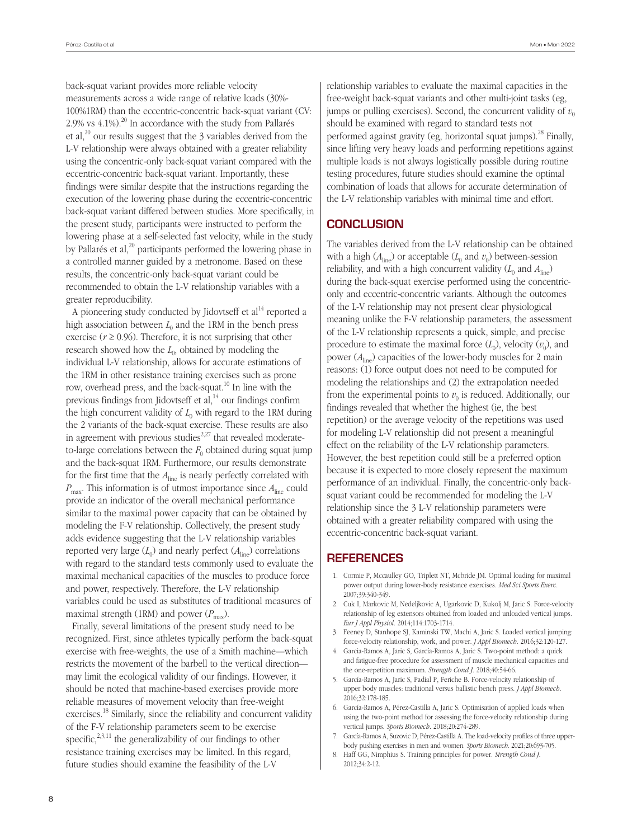back-squat variant provides more reliable velocity measurements across a wide range of relative loads (30%- 100%1RM) than the eccentric-concentric back-squat variant (CV: 2.9% vs  $4.1\%$ ).<sup>20</sup> In accordance with the study from Pallarés et al,<sup>20</sup> our results suggest that the 3 variables derived from the L-V relationship were always obtained with a greater reliability using the concentric-only back-squat variant compared with the eccentric-concentric back-squat variant. Importantly, these findings were similar despite that the instructions regarding the execution of the lowering phase during the eccentric-concentric back-squat variant differed between studies. More specifically, in the present study, participants were instructed to perform the lowering phase at a self-selected fast velocity, while in the study by Pallarés et al, $^{20}$  participants performed the lowering phase in a controlled manner guided by a metronome. Based on these results, the concentric-only back-squat variant could be recommended to obtain the L-V relationship variables with a greater reproducibility.

A pioneering study conducted by Jidovtseff et  $al<sup>14</sup>$  reported a high association between  $L_0$  and the 1RM in the bench press exercise ( $r \ge 0.96$ ). Therefore, it is not surprising that other research showed how the  $L_0$ , obtained by modeling the individual L-V relationship, allows for accurate estimations of the 1RM in other resistance training exercises such as prone row, overhead press, and the back-squat.<sup>10</sup> In line with the previous findings from Jidovtseff et al,<sup>14</sup> our findings confirm the high concurrent validity of  $L_0$  with regard to the 1RM during the 2 variants of the back-squat exercise. These results are also in agreement with previous studies<sup> $2,27$ </sup> that revealed moderateto-large correlations between the  $F_0$  obtained during squat jump and the back-squat 1RM. Furthermore, our results demonstrate for the first time that the  $A_{\text{line}}$  is nearly perfectly correlated with *P*max. This information is of utmost importance since *A*line could provide an indicator of the overall mechanical performance similar to the maximal power capacity that can be obtained by modeling the F-V relationship. Collectively, the present study adds evidence suggesting that the L-V relationship variables reported very large  $(L_0)$  and nearly perfect  $(A<sub>line</sub>)$  correlations with regard to the standard tests commonly used to evaluate the maximal mechanical capacities of the muscles to produce force and power, respectively. Therefore, the L-V relationship variables could be used as substitutes of traditional measures of maximal strength (1RM) and power  $(P_{\text{max}})$ .

Finally, several limitations of the present study need to be recognized. First, since athletes typically perform the back-squat exercise with free-weights, the use of a Smith machine—which restricts the movement of the barbell to the vertical direction may limit the ecological validity of our findings. However, it should be noted that machine-based exercises provide more reliable measures of movement velocity than free-weight exercises.18 Similarly, since the reliability and concurrent validity of the F-V relationship parameters seem to be exercise specific, $2,3,11$  the generalizability of our findings to other resistance training exercises may be limited. In this regard, future studies should examine the feasibility of the L-V

relationship variables to evaluate the maximal capacities in the free-weight back-squat variants and other multi-joint tasks (eg, jumps or pulling exercises). Second, the concurrent validity of  $v_0$ should be examined with regard to standard tests not performed against gravity (eg, horizontal squat jumps).<sup>28</sup> Finally, since lifting very heavy loads and performing repetitions against multiple loads is not always logistically possible during routine testing procedures, future studies should examine the optimal combination of loads that allows for accurate determination of the L-V relationship variables with minimal time and effort.

# **CONCLUSION**

The variables derived from the L-V relationship can be obtained with a high ( $A_{\text{line}}$ ) or acceptable ( $L_0$  and  $v_0$ ) between-session reliability, and with a high concurrent validity  $(L_0$  and  $A_{\text{line}})$ during the back-squat exercise performed using the concentriconly and eccentric-concentric variants. Although the outcomes of the L-V relationship may not present clear physiological meaning unlike the F-V relationship parameters, the assessment of the L-V relationship represents a quick, simple, and precise procedure to estimate the maximal force  $(L_0)$ , velocity  $(v_0)$ , and power  $(A<sub>line</sub>)$  capacities of the lower-body muscles for 2 main reasons: (1) force output does not need to be computed for modeling the relationships and (2) the extrapolation needed from the experimental points to  $v_0$  is reduced. Additionally, our findings revealed that whether the highest (ie, the best repetition) or the average velocity of the repetitions was used for modeling L-V relationship did not present a meaningful effect on the reliability of the L-V relationship parameters. However, the best repetition could still be a preferred option because it is expected to more closely represent the maximum performance of an individual. Finally, the concentric-only backsquat variant could be recommended for modeling the L-V relationship since the 3 L-V relationship parameters were obtained with a greater reliability compared with using the eccentric-concentric back-squat variant.

## **REFERENCES**

- 1. Cormie P, Mccaulley GO, Triplett NT, Mcbride JM. Optimal loading for maximal power output during lower-body resistance exercises. *Med Sci Sports Exerc*. 2007;39:340-349.
- 2. Cuk I, Markovic M, Nedeljkovic A, Ugarkovic D, Kukolj M, Jaric S. Force-velocity relationship of leg extensors obtained from loaded and unloaded vertical jumps. *Eur J Appl Physiol*. 2014;114:1703-1714.
- 3. Feeney D, Stanhope SJ, Kaminski TW, Machi A, Jaric S. Loaded vertical jumping: force-velocity relationship, work, and power. *J Appl Biomech*. 2016;32:120-127.
- 4. Garcia-Ramos A, Jaric S, García-Ramos A, Jaric S. Two-point method: a quick and fatigue-free procedure for assessment of muscle mechanical capacities and the one-repetition maximum. *Strength Cond J*. 2018;40:54-66.
- 5. García-Ramos A, Jaric S, Padial P, Feriche B. Force-velocity relationship of upper body muscles: traditional versus ballistic bench press. *J Appl Biomech*. 2016;32:178-185.
- 6. García-Ramos A, Pérez-Castilla A, Jaric S. Optimisation of applied loads when using the two-point method for assessing the force-velocity relationship during vertical jumps. *Sports Biomech*. 2018;20:274-289.
- 7. García-Ramos A, Suzovic D, Pérez-Castilla A. The load-velocity profiles of three upperbody pushing exercises in men and women. *Sports Biomech*. 2021;20:693-705.
- 8. Haff GG, Nimphius S. Training principles for power. *Strength Cond J*. 2012;34:2-12.